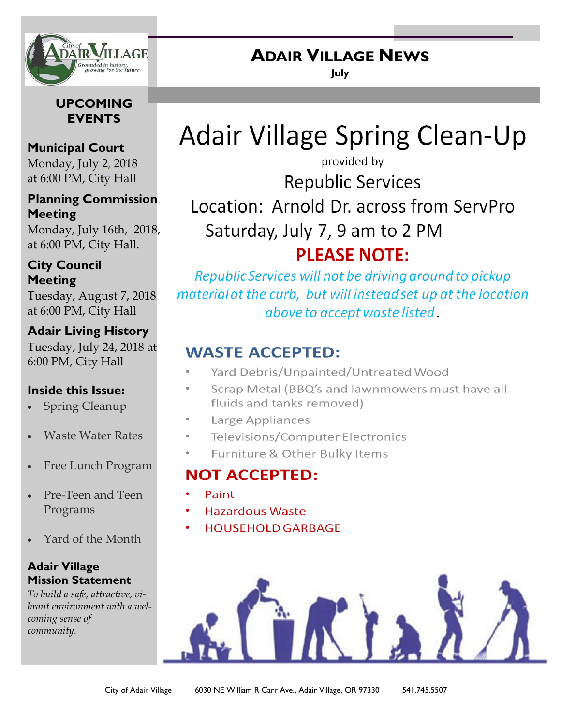

## **UPCOMING EVENTS**

## **Municipal Court**

Monday, July 2, 2018 at 6:00 PM, City Hall

### **Planning Commission Meeting**

Monday, July 16th, 2018, at 6:00 PM, City Hall.

## **City Council Meeting**

Tuesday, August 7, 2018 at 6:00 PM, City Hall

## **Adair Living History**

Tuesday, July 24, 2018 at 6:00 PM, City Hall

## **Inside this Issue:**

- Spring Cleanup
- Waste Water Rates
- Free Lunch Program
- Pre-Teen and Teen Programs
- Yard of the Month

### **Adair Village Mission Statement**

*To build a safe, attractive, vibrant environment with a welcoming sense of community.*

## **ADAIR VILLAGE NEWS**

**July**

# **Adair Village Spring Clean-Up**

provided by

**Republic Services** Location: Arnold Dr. across from ServPro Saturday, July 7, 9 am to 2 PM **PLEASE NOTE:** 

Republic Services will not be driving around to pickup material at the curb, but will instead set up at the location above to accept waste listed.

## **WASTE ACCEPTED:**

- Yard Debris/Unpainted/Untreated Wood
- Scrap Metal (BBQ's and lawnmowers must have all fluids and tanks removed)
- Large Appliances  $\bullet$
- Televisions/Computer Electronics  $\bullet$
- $\bullet$ Furniture & Other Bulky Items

## **NOT ACCEPTED:**

- Paint
- Hazardous Waste
- **HOUSEHOLD GARBAGE**